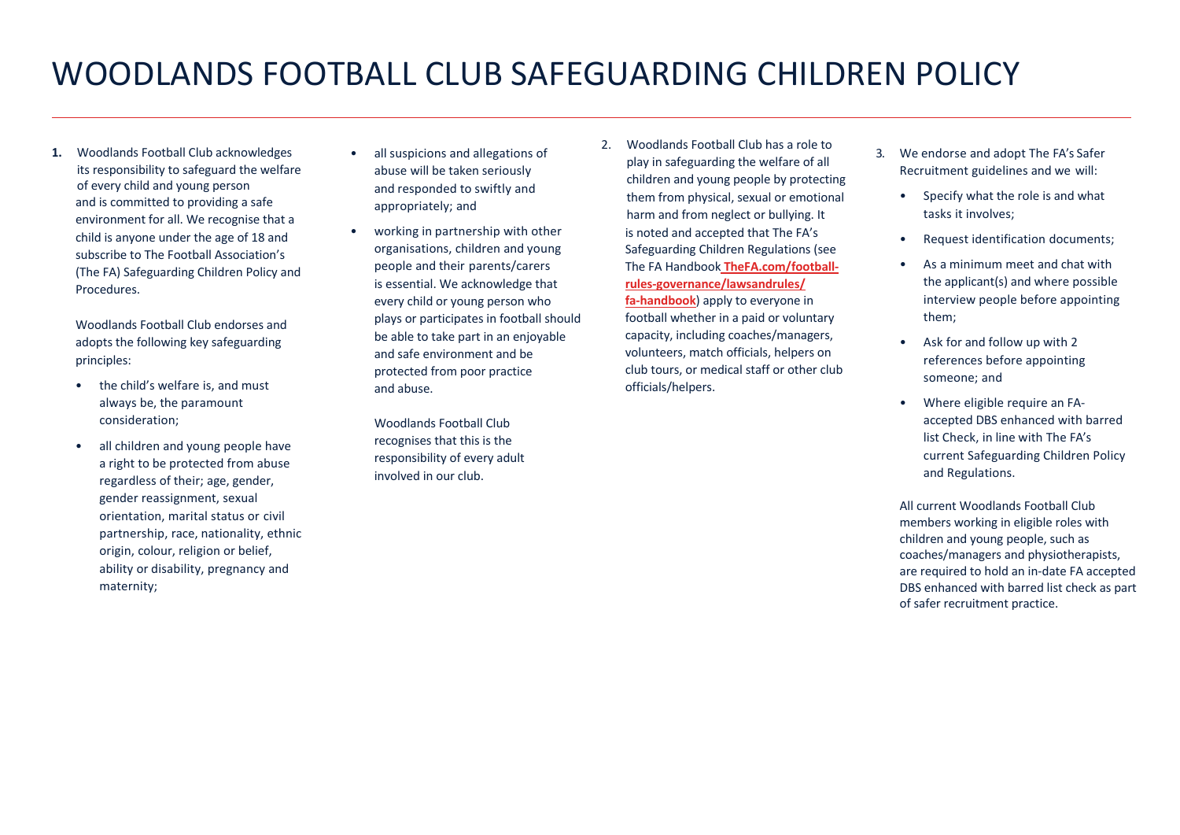## WOODLANDS FOOTBALL CLUB SAFEGUARDING CHILDREN POLICY

**1.** Woodlands Football Club acknowledges its responsibility to safeguard the welfare of every child and young person and is committed to providing a safe environment for all. We recognise that a child is anyone under the age of 18 and subscribe to The Football Association's (The FA) Safeguarding Children Policy and **Procedures** 

Woodlands Football Club endorses and adopts the following key safeguarding principles:

- the child's welfare is, and must always be, the paramount consideration;
- all children and young people have a right to be protected from abuse regardless of their; age, gender, gender reassignment, sexual orientation, marital status or civil partnership, race, nationality, ethnic origin, colour, religion or belief, ability or disability, pregnancy and maternity;
- all suspicions and allegations of abuse will be taken seriously and responded to swiftly and appropriately; and
- working in partnership with other organisations, children and young people and their parents/carers is essential. We acknowledge that every child or young person who plays or participates in football should be able to take part in an enjoyable and safe environment and be protected from poor practice and abuse.

Woodlands Football Club recognises that this is the responsibility of every adult involved in our club.

2. Woodlands Football Club has a role to play in safeguarding the welfare of all children and young people by protecting them from physical, sexual or emotional harm and from neglect or bullying. It is noted and accepted that The FA's Safeguarding Children Regulations (see The FA Handbook **TheFA.com/footballrules-governance/lawsandrules/ fa-handbook**) apply to everyone in football whether in a paid or voluntary

capacity, including coaches/managers, volunteers, match officials, helpers on club tours, or medical staff or other club officials/helpers.

- 3. We endorse and adopt The FA's Safer Recruitment guidelines and we will:
	- Specify what the role is and what tasks it involves;
	- Request identification documents;
	- As a minimum meet and chat with the applicant(s) and where possible interview people before appointing them;
	- Ask for and follow up with 2 references before appointing someone; and
	- Where eligible require an FAaccepted DBS enhanced with barred list Check, in line with The FA's current Safeguarding Children Policy and Regulations.

All current Woodlands Football Club members working in eligible roles with children and young people, such as coaches/managers and physiotherapists, are required to hold an in-date FA accepted DBS enhanced with barred list check as part of safer recruitment practice.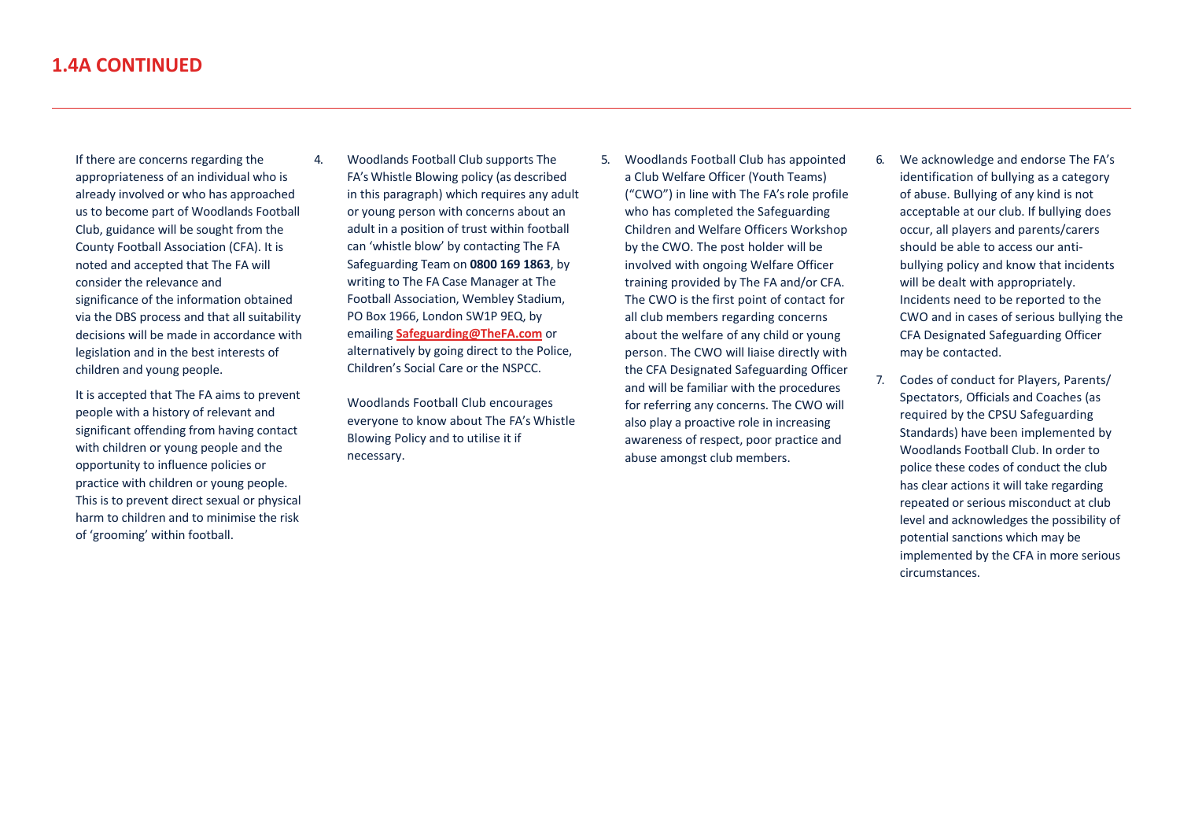If there are concerns regarding the appropriateness of an individual who is already involved or who has approached us to become part of Woodlands Football Club, guidance will be sought from the County Football Association (CFA). It is noted and accepted that The FA will consider the relevance and significance of the information obtained via the DBS process and that all suitability decisions will be made in accordance with legislation and in the best interests of children and young people.

It is accepted that The FA aims to prevent people with a history of relevant and significant offending from having contact with children or young people and the opportunity to influence policies or practice with children or young people. This is to prevent direct sexual or physical harm to children and to minimise the risk of 'grooming' within football.

4. Woodlands Football Club supports The FA's Whistle Blowing policy (as described in this paragraph) which requires any adult or young person with concerns about an adult in a position of trust within football can 'whistle blow' by contacting The FA Safeguarding Team on **0800 169 1863**, by writing to The FA Case Manager at The Football Association, Wembley Stadium, PO Box 1966, London SW1P 9EQ, by emailing **Safeguarding@TheFA.com** or alternatively by going direct to the Police, Children's Social Care or the NSPCC.

> Woodlands Football Club encourages everyone to know about The FA's Whistle Blowing Policy and to utilise it if necessary.

- 5. Woodlands Football Club has appointed a Club Welfare Officer (Youth Teams) ("CWO") in line with The FA's role profile who has completed the Safeguarding Children and Welfare Officers Workshop by the CWO. The post holder will be involved with ongoing Welfare Officer training provided by The FA and/or CFA. The CWO is the first point of contact for all club members regarding concerns about the welfare of any child or young person. The CWO will liaise directly with the CFA Designated Safeguarding Officer and will be familiar with the procedures for referring any concerns. The CWO will also play a proactive role in increasing awareness of respect, poor practice and abuse amongst club members.
- 6. We acknowledge and endorse The FA's identification of bullying as a category of abuse. Bullying of any kind is not acceptable at our club. If bullying does occur, all players and parents/carers should be able to access our antibullying policy and know that incidents will be dealt with appropriately. Incidents need to be reported to the CWO and in cases of serious bullying the CFA Designated Safeguarding Officer may be contacted.
- 7. Codes of conduct for Players, Parents/ Spectators, Officials and Coaches (as required by the CPSU Safeguarding Standards) have been implemented by Woodlands Football Club. In order to police these codes of conduct the club has clear actions it will take regarding repeated or serious misconduct at club level and acknowledges the possibility of potential sanctions which may be implemented by the CFA in more serious circumstances.